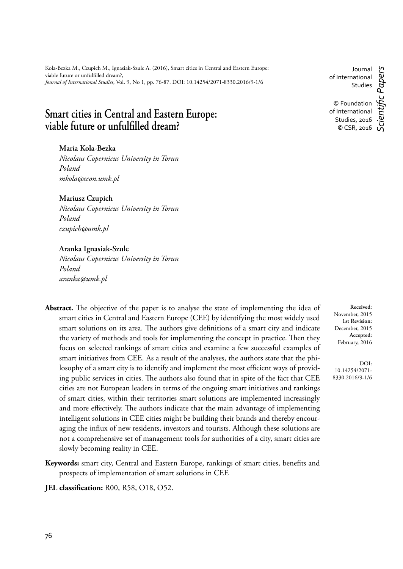# **Smart cities in Central and Eastern Europe:**  viable future or unfulfilled dream?

#### **Maria Kola-Bezka**

*Nicolaus Copernicus University in Torun Poland mkola@econ.umk.pl*

#### **Mariusz Czupich**

*Nicolaus Copernicus University in Torun Poland czupich@umk.pl* 

#### **Aranka Ignasiak-Szulc**

*Nicolaus Copernicus University in Torun Poland aranka@umk.pl* 

- Abstract. The objective of the paper is to analyse the state of implementing the idea of smart cities in Central and Eastern Europe (CEE) by identifying the most widely used smart solutions on its area. The authors give definitions of a smart city and indicate the variety of methods and tools for implementing the concept in practice. Then they focus on selected rankings of smart cities and examine a few successful examples of smart initiatives from CEE. As a result of the analyses, the authors state that the philosophy of a smart city is to identify and implement the most efficient ways of providing public services in cities. The authors also found that in spite of the fact that CEE cities are not European leaders in terms of the ongoing smart initiatives and rankings of smart cities, within their territories smart solutions are implemented increasingly and more effectively. The authors indicate that the main advantage of implementing intelligent solutions in CEE cities might be building their brands and thereby encouraging the influx of new residents, investors and tourists. Although these solutions are not a comprehensive set of management tools for authorities of a city, smart cities are slowly becoming reality in CEE.
- Keywords: smart city, Central and Eastern Europe, rankings of smart cities, benefits and prospects of implementation of smart solutions in CEE
- **JEL classification:** R00, R58, O18, O52.

Journal of International Studies © Foundation of International Studies, 2016 © CSR, 2016 *Scientifi c Papers*

**Received**: November, 2015 **1st Revision:** December, 2015 **Accepted:** February, 2016

DOI: 10.14254/2071- 8330.2016/9-1/6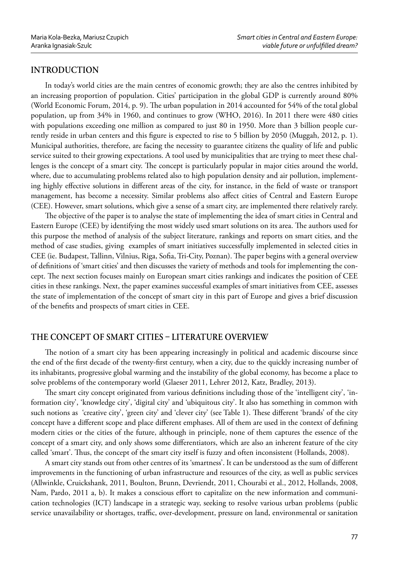# **INTRODUCTION**

In today's world cities are the main centres of economic growth; they are also the centres inhibited by an increasing proportion of population. Cities' participation in the global GDP is currently around 80% (World Economic Forum, 2014, p. 9). The urban population in 2014 accounted for 54% of the total global population, up from 34% in 1960, and continues to grow (WHO, 2016). In 2011 there were 480 cities with populations exceeding one million as compared to just 80 in 1950. More than 3 billion people currently reside in urban centers and this figure is expected to rise to 5 billion by 2050 (Muggah, 2012, p. 1). Municipal authorities, therefore, are facing the necessity to guarantee citizens the quality of life and public service suited to their growing expectations. A tool used by municipalities that are trying to meet these challenges is the concept of a smart city. The concept is particularly popular in major cities around the world, where, due to accumulating problems related also to high population density and air pollution, implementing highly effective solutions in different areas of the city, for instance, in the field of waste or transport management, has become a necessity. Similar problems also affect cities of Central and Eastern Europe (CEE). However, smart solutions, which give a sense of a smart city, are implemented there relatively rarely.

The objective of the paper is to analyse the state of implementing the idea of smart cities in Central and Eastern Europe (CEE) by identifying the most widely used smart solutions on its area. The authors used for this purpose the method of analysis of the subject literature, rankings and reports on smart cities, and the method of case studies, giving examples of smart initiatives successfully implemented in selected cities in CEE (ie. Budapest, Tallinn, Vilnius, Riga, Sofia, Tri-City, Poznan). The paper begins with a general overview of definitions of 'smart cities' and then discusses the variety of methods and tools for implementing the concept. The next section focuses mainly on European smart cities rankings and indicates the position of CEE cities in these rankings. Next, the paper examines successful examples of smart initiatives from CEE, assesses the state of implementation of the concept of smart city in this part of Europe and gives a brief discussion of the benefits and prospects of smart cities in CEE.

## **THE CONCEPT OF SMART CITIES LITERATURE OVERVIEW**

The notion of a smart city has been appearing increasingly in political and academic discourse since the end of the first decade of the twenty-first century, when a city, due to the quickly increasing number of its inhabitants, progressive global warming and the instability of the global economy, has become a place to solve problems of the contemporary world (Glaeser 2011, Lehrer 2012, Katz, Bradley, 2013).

The smart city concept originated from various definitions including those of the 'intelligent city', 'information city', 'knowledge city', 'digital city' and 'ubiquitous city'. It also has something in common with such notions as 'creative city', 'green city' and 'clever city' (see Table 1). These different 'brands' of the city concept have a different scope and place different emphases. All of them are used in the context of defining modern cities or the cities of the future, although in principle, none of them captures the essence of the concept of a smart city, and only shows some differentiators, which are also an inherent feature of the city called 'smart'. Thus, the concept of the smart city itself is fuzzy and often inconsistent (Hollands, 2008).

A smart city stands out from other centres of its 'smartness'. It can be understood as the sum of different improvements in the functioning of urban infrastructure and resources of the city, as well as public services (Allwinkle, Cruickshank, 2011, Boulton, Brunn, Devriendt, 2011, Chourabi et al., 2012, Hollands, 2008, Nam, Pardo, 2011 a, b). It makes a conscious effort to capitalize on the new information and communication technologies (ICT) landscape in a strategic way, seeking to resolve various urban problems (public service unavailability or shortages, traffic, over-development, pressure on land, environmental or sanitation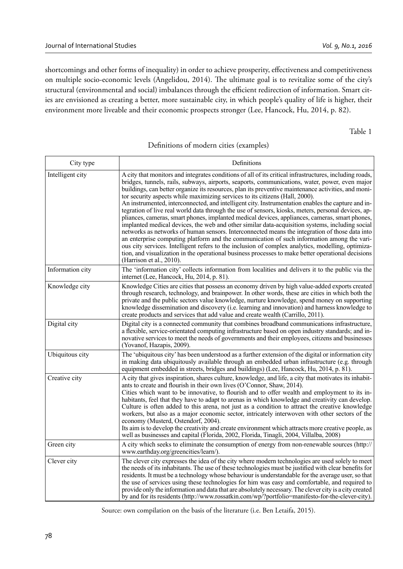shortcomings and other forms of inequality) in order to achieve prosperity, effectiveness and competitiveness on multiple socio-economic levels (Angelidou, 2014). The ultimate goal is to revitalize some of the city's structural (environmental and social) imbalances through the efficient redirection of information. Smart cities are envisioned as creating a better, more sustainable city, in which people's quality of life is higher, their environment more liveable and their economic prospects stronger (Lee, Hancock, Hu, 2014, p. 82).

Table 1

#### Definitions of modern cities (examples)

| City type        | Definitions                                                                                                                                                                                                                                                                                                                                                                                                                                                                                                                                                                                                                                                                                                                                                                                                                                                                                                                                                                                                                                                                                                                                                                                                                                               |
|------------------|-----------------------------------------------------------------------------------------------------------------------------------------------------------------------------------------------------------------------------------------------------------------------------------------------------------------------------------------------------------------------------------------------------------------------------------------------------------------------------------------------------------------------------------------------------------------------------------------------------------------------------------------------------------------------------------------------------------------------------------------------------------------------------------------------------------------------------------------------------------------------------------------------------------------------------------------------------------------------------------------------------------------------------------------------------------------------------------------------------------------------------------------------------------------------------------------------------------------------------------------------------------|
| Intelligent city | A city that monitors and integrates conditions of all of its critical infrastructures, including roads,<br>bridges, tunnels, rails, subways, airports, seaports, communications, water, power, even major<br>buildings, can better organize its resources, plan its preventive maintenance activities, and moni-<br>tor security aspects while maximizing services to its citizens (Hall, 2000).<br>An instrumented, interconnected, and intelligent city. Instrumentation enables the capture and in-<br>tegration of live real world data through the use of sensors, kiosks, meters, personal devices, ap-<br>pliances, cameras, smart phones, implanted medical devices, appliances, cameras, smart phones,<br>implanted medical devices, the web and other similar data-acquisition systems, including social<br>networks as networks of human sensors. Interconnected means the integration of those data into<br>an enterprise computing platform and the communication of such information among the vari-<br>ous city services. Intelligent refers to the inclusion of complex analytics, modelling, optimiza-<br>tion, and visualization in the operational business processes to make better operational decisions<br>(Harrison et al., 2010). |
| Information city | The 'information city' collects information from localities and delivers it to the public via the<br>internet (Lee, Hancock, Hu, 2014, p. 81).                                                                                                                                                                                                                                                                                                                                                                                                                                                                                                                                                                                                                                                                                                                                                                                                                                                                                                                                                                                                                                                                                                            |
| Knowledge city   | Knowledge Cities are cities that possess an economy driven by high value-added exports created<br>through research, technology, and brainpower. In other words, these are cities in which both the<br>private and the public sectors value knowledge, nurture knowledge, spend money on supporting<br>knowledge dissemination and discovery (i.e. learning and innovation) and harness knowledge to<br>create products and services that add value and create wealth (Carrillo, 2011).                                                                                                                                                                                                                                                                                                                                                                                                                                                                                                                                                                                                                                                                                                                                                                    |
| Digital city     | Digital city is a connected community that combines broadband communications infrastructure,<br>a flexible, service-orientated computing infrastructure based on open industry standards; and in-<br>novative services to meet the needs of governments and their employees, citizens and businesses<br>(Yovanof, Hazapis, 2009).                                                                                                                                                                                                                                                                                                                                                                                                                                                                                                                                                                                                                                                                                                                                                                                                                                                                                                                         |
| Ubiquitous city  | The 'ubiquitous city' has been understood as a further extension of the digital or information city<br>in making data ubiquitously available through an embedded urban infrastructure (e.g. through<br>equipment embedded in streets, bridges and buildings) (Lee, Hancock, Hu, 2014, p. 81).                                                                                                                                                                                                                                                                                                                                                                                                                                                                                                                                                                                                                                                                                                                                                                                                                                                                                                                                                             |
| Creative city    | A city that gives inspiration, shares culture, knowledge, and life, a city that motivates its inhabit-<br>ants to create and flourish in their own lives (O'Connor, Shaw, 2014).<br>Cities which want to be innovative, to flourish and to offer wealth and employment to its in-<br>habitants, feel that they have to adapt to arenas in which knowledge and creativity can develop.<br>Culture is often added to this arena, not just as a condition to attract the creative knowledge<br>workers, but also as a major economic sector, intricately interwoven with other sectors of the<br>economy (Musterd, Ostendorf, 2004).<br>Its aim is to develop the creativity and create environment which attracts more creative people, as<br>well as businesses and capital (Florida, 2002, Florida, Tinagli, 2004, Villalba, 2008)                                                                                                                                                                                                                                                                                                                                                                                                                        |
| Green city       | A city which seeks to eliminate the consumption of energy from non-renewable sources (http://<br>www.earthday.org/greencities/learn/).                                                                                                                                                                                                                                                                                                                                                                                                                                                                                                                                                                                                                                                                                                                                                                                                                                                                                                                                                                                                                                                                                                                    |
| Clever city      | The clever city expresses the idea of the city where modern technologies are used solely to meet<br>the needs of its inhabitants. The use of these technologies must be justified with clear benefits for<br>residents. It must be a technology whose behaviour is understandable for the average user, so that<br>the use of services using these technologies for him was easy and comfortable, and required to<br>provide only the information and data that are absolutely necessary. The clever city is a city created<br>by and for its residents (http://www.rossatkin.com/wp/?portfolio=manifesto-for-the-clever-city).                                                                                                                                                                                                                                                                                                                                                                                                                                                                                                                                                                                                                           |

Source: own compilation on the basis of the literature (i.e. Ben Letaifa, 2015).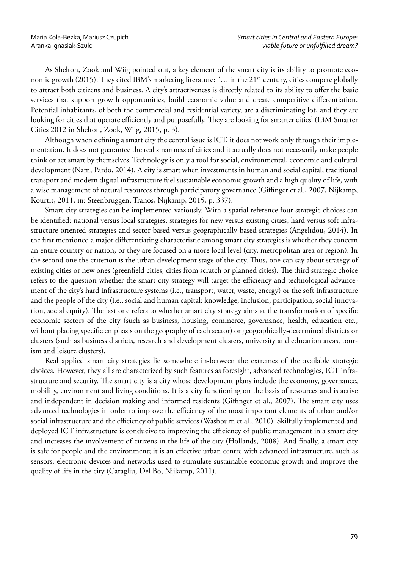As Shelton, Zook and Wiig pointed out, a key element of the smart city is its ability to promote economic growth (2015). They cited IBM's marketing literature: '... in the  $21<sup>st</sup>$  century, cities compete globally to attract both citizens and business. A city's attractiveness is directly related to its ability to offer the basic services that support growth opportunities, build economic value and create competitive differentiation. Potential inhabitants, of both the commercial and residential variety, are a discriminating lot, and they are looking for cities that operate efficiently and purposefully. They are looking for smarter cities' (IBM Smarter Cities 2012 in Shelton, Zook, Wiig, 2015, p. 3).

Although when defining a smart city the central issue is ICT, it does not work only through their implementation. It does not guarantee the real smartness of cities and it actually does not necessarily make people think or act smart by themselves. Technology is only a tool for social, environmental, economic and cultural development (Nam, Pardo, 2014). A city is smart when investments in human and social capital, traditional transport and modern digital infrastructure fuel sustainable economic growth and a high quality of life, with a wise management of natural resources through participatory governance (Giffinger et al., 2007, Nijkamp, Kourtit, 2011, in: Steenbruggen, Tranos, Nijkamp, 2015, p. 337).

Smart city strategies can be implemented variously. With a spatial reference four strategic choices can be identified: national versus local strategies, strategies for new versus existing cities, hard versus soft infrastructure-oriented strategies and sector-based versus geographically-based strategies (Angelidou, 2014). In the first mentioned a major differentiating characteristic among smart city strategies is whether they concern an entire country or nation, or they are focused on a more local level (city, metropolitan area or region). In the second one the criterion is the urban development stage of the city. Thus, one can say about strategy of existing cities or new ones (greenfield cities, cities from scratch or planned cities). The third strategic choice refers to the question whether the smart city strategy will target the efficiency and technological advancement of the city's hard infrastructure systems (i.e., transport, water, waste, energy) or the soft infrastructure and the people of the city (i.e., social and human capital: knowledge, inclusion, participation, social innovation, social equity). The last one refers to whether smart city strategy aims at the transformation of specific economic sectors of the city (such as business, housing, commerce, governance, health, education etc., without placing specific emphasis on the geography of each sector) or geographically-determined districts or clusters (such as business districts, research and development clusters, university and education areas, tourism and leisure clusters).

Real applied smart city strategies lie somewhere in-between the extremes of the available strategic choices. However, they all are characterized by such features as foresight, advanced technologies, ICT infrastructure and security. The smart city is a city whose development plans include the economy, governance, mobility, environment and living conditions. It is a city functioning on the basis of resources and is active and independent in decision making and informed residents (Giffinger et al., 2007). The smart city uses advanced technologies in order to improve the efficiency of the most important elements of urban and/or social infrastructure and the efficiency of public services (Washburn et al., 2010). Skilfully implemented and deployed ICT infrastructure is conducive to improving the efficiency of public management in a smart city and increases the involvement of citizens in the life of the city (Hollands, 2008). And finally, a smart city is safe for people and the environment; it is an effective urban centre with advanced infrastructure, such as sensors, electronic devices and networks used to stimulate sustainable economic growth and improve the quality of life in the city (Caragliu, Del Bo, Nijkamp, 2011).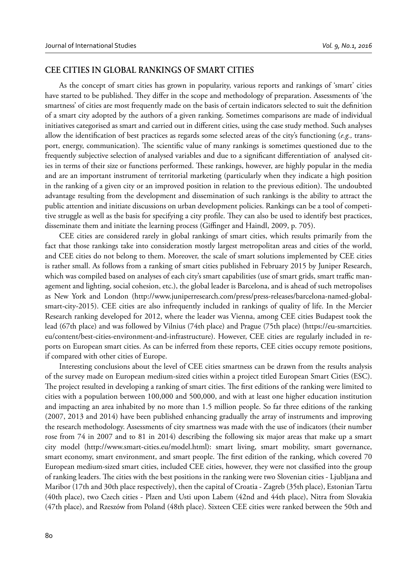#### **CEE CITIES IN GLOBAL RANKINGS OF SMART CITIES**

As the concept of smart cities has grown in popularity, various reports and rankings of 'smart' cities have started to be published. They differ in the scope and methodology of preparation. Assessments of 'the smartness' of cities are most frequently made on the basis of certain indicators selected to suit the definition of a smart city adopted by the authors of a given ranking. Sometimes comparisons are made of individual initiatives categorised as smart and carried out in different cities, using the case study method. Such analyses allow the identification of best practices as regards some selected areas of the city's functioning (*e.g.*, transport, energy, communication). The scientific value of many rankings is sometimes questioned due to the frequently subjective selection of analysed variables and due to a significant differentiation of analysed cities in terms of their size or functions performed. These rankings, however, are highly popular in the media and are an important instrument of territorial marketing (particularly when they indicate a high position in the ranking of a given city or an improved position in relation to the previous edition). The undoubted advantage resulting from the development and dissemination of such rankings is the ability to attract the public attention and initiate discussions on urban development policies. Rankings can be a tool of competitive struggle as well as the basis for specifying a city profile. They can also be used to identify best practices, disseminate them and initiate the learning process (Giffinger and Haindl, 2009, p. 705).

CEE cities are considered rarely in global rankings of smart cities, which results primarily from the fact that those rankings take into consideration mostly largest metropolitan areas and cities of the world, and CEE cities do not belong to them. Moreover, the scale of smart solutions implemented by CEE cities is rather small. As follows from a ranking of smart cities published in February 2015 by Juniper Research, which was compiled based on analyses of each city's smart capabilities (use of smart grids, smart traffic management and lighting, social cohesion, etc.), the global leader is Barcelona, and is ahead of such metropolises as New York and London (http://www.juniperresearch.com/press/press-releases/barcelona-named-globalsmart-city-2015). CEE cities are also infrequently included in rankings of quality of life. In the Mercier Research ranking developed for 2012, where the leader was Vienna, among CEE cities Budapest took the lead (67th place) and was followed by Vilnius (74th place) and Prague (75th place) (https://eu-smartcities. eu/content/best-cities-environment-and-infrastructure). However, CEE cities are regularly included in reports on European smart cities. As can be inferred from these reports, CEE cities occupy remote positions, if compared with other cities of Europe.

Interesting conclusions about the level of CEE cities smartness can be drawn from the results analysis of the survey made on European medium-sized cities within a project titled European Smart Cities (ESC). The project resulted in developing a ranking of smart cities. The first editions of the ranking were limited to cities with a population between 100,000 and 500,000, and with at least one higher education institution and impacting an area inhabited by no more than 1.5 million people. So far three editions of the ranking (2007, 2013 and 2014) have been published enhancing gradually the array of instruments and improving the research methodology. Assessments of city smartness was made with the use of indicators (their number rose from 74 in 2007 and to 81 in 2014) describing the following six major areas that make up a smart city model (http://www.smart-cities.eu/model.html): smart living, smart mobility, smart governance, smart economy, smart environment, and smart people. The first edition of the ranking, which covered 70 European medium-sized smart cities, included CEE cities, however, they were not classified into the group of ranking leaders. The cities with the best positions in the ranking were two Slovenian cities - Ljubljana and Maribor (17th and 30th place respectively), then the capital of Croatia - Zagreb (35th place), Estonian Tartu (40th place), two Czech cities - Plzen and Usti upon Labem (42nd and 44th place), Nitra from Slovakia (47th place), and Rzeszów from Poland (48th place). Sixteen CEE cities were ranked between the 50th and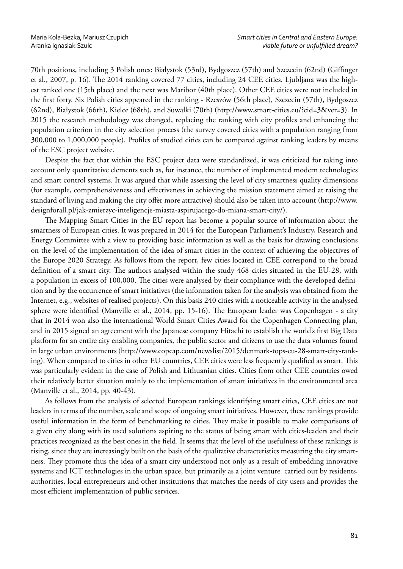70th positions, including 3 Polish ones: Białystok (53rd), Bydgoszcz (57th) and Szczecin (62nd) (Giffinger et al., 2007, p. 16). The 2014 ranking covered 77 cities, including 24 CEE cities. Ljubljana was the highest ranked one (15th place) and the next was Maribor (40th place). Other CEE cities were not included in the first forty. Six Polish cities appeared in the ranking - Rzeszów (56th place), Szczecin (57th), Bydgoszcz (62nd), Białystok (66th), Kielce (68th), and Suwałki (70th) (http://www.smart-cities.eu/?cid=3&ver=3). In 2015 the research methodology was changed, replacing the ranking with city profiles and enhancing the population criterion in the city selection process (the survey covered cities with a population ranging from 300,000 to 1,000,000 people). Profiles of studied cities can be compared against ranking leaders by means of the ESC project website.

Despite the fact that within the ESC project data were standardized, it was criticized for taking into account only quantitative elements such as, for instance, the number of implemented modern technologies and smart control systems. It was argued that while assessing the level of city smartness quality dimensions (for example, comprehensiveness and effectiveness in achieving the mission statement aimed at raising the standard of living and making the city offer more attractive) should also be taken into account (http://www. designforall.pl/jak-zmierzyc-inteligencje-miasta-aspirujacego-do-miana-smart-city/).

The Mapping Smart Cities in the EU report has become a popular source of information about the smartness of European cities. It was prepared in 2014 for the European Parliament's Industry, Research and Energy Committee with a view to providing basic information as well as the basis for drawing conclusions on the level of the implementation of the idea of smart cities in the context of achieving the objectives of the Europe 2020 Strategy. As follows from the report, few cities located in CEE correspond to the broad definition of a smart city. The authors analysed within the study 468 cities situated in the EU-28, with a population in excess of 100,000. The cities were analysed by their compliance with the developed definition and by the occurrence of smart initiatives (the information taken for the analysis was obtained from the Internet, e.g., websites of realised projects). On this basis 240 cities with a noticeable activity in the analysed sphere were identified (Manville et al., 2014, pp. 15-16). The European leader was Copenhagen - a city that in 2014 won also the international World Smart Cities Award for the Copenhagen Connecting plan, and in 2015 signed an agreement with the Japanese company Hitachi to establish the world's first Big Data platform for an entire city enabling companies, the public sector and citizens to use the data volumes found in large urban environments (http://www.copcap.com/newslist/2015/denmark-tops-eu-28-smart-city-ranking). When compared to cities in other EU countries, CEE cities were less frequently qualified as smart. This was particularly evident in the case of Polish and Lithuanian cities. Cities from other CEE countries owed their relatively better situation mainly to the implementation of smart initiatives in the environmental area (Manville et al., 2014, pp. 40-43).

As follows from the analysis of selected European rankings identifying smart cities, CEE cities are not leaders in terms of the number, scale and scope of ongoing smart initiatives. However, these rankings provide useful information in the form of benchmarking to cities. They make it possible to make comparisons of a given city along with its used solutions aspiring to the status of being smart with cities-leaders and their practices recognized as the best ones in the field. It seems that the level of the usefulness of these rankings is rising, since they are increasingly built on the basis of the qualitative characteristics measuring the city smartness. They promote thus the idea of a smart city understood not only as a result of embedding innovative systems and ICT technologies in the urban space, but primarily as a joint venture carried out by residents, authorities, local entrepreneurs and other institutions that matches the needs of city users and provides the most efficient implementation of public services.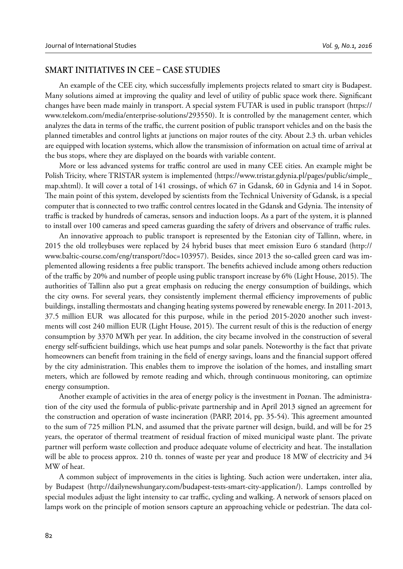#### **SMART INITIATIVES IN CEE CASE STUDIES**

An example of the CEE city, which successfully implements projects related to smart city is Budapest. Many solutions aimed at improving the quality and level of utility of public space work there. Significant changes have been made mainly in transport. A special system FUTAR is used in public transport (https:// www.telekom.com/media/enterprise-solutions/293550). It is controlled by the management center, which analyzes the data in terms of the traffic, the current position of public transport vehicles and on the basis the planned timetables and control lights at junctions on major routes of the city. About 2.3 th. urban vehicles are equipped with location systems, which allow the transmission of information on actual time of arrival at the bus stops, where they are displayed on the boards with variable content.

More or less advanced systems for traffic control are used in many CEE cities. An example might be Polish Tricity, where TRISTAR system is implemented (https://www.tristar.gdynia.pl/pages/public/simple\_ map.xhtml). It will cover a total of 141 crossings, of which 67 in Gdansk, 60 in Gdynia and 14 in Sopot. The main point of this system, developed by scientists from the Technical University of Gdansk, is a special computer that is connected to two traffic control centres located in the Gdansk and Gdynia. The intensity of traffic is tracked by hundreds of cameras, sensors and induction loops. As a part of the system, it is planned to install over 100 cameras and speed cameras guarding the safety of drivers and observance of traffic rules.

An innovative approach to public transport is represented by the Estonian city of Tallinn, where, in 2015 the old trolleybuses were replaced by 24 hybrid buses that meet emission Euro 6 standard (http:// www.baltic-course.com/eng/transport/?doc=103957). Besides, since 2013 the so-called green card was implemented allowing residents a free public transport. The benefits achieved include among others reduction of the traffic by 20% and number of people using public transport increase by 6% (Light House, 2015). The authorities of Tallinn also put a great emphasis on reducing the energy consumption of buildings, which the city owns. For several years, they consistently implement thermal efficiency improvements of public buildings, installing thermostats and changing heating systems powered by renewable energy. In 2011-2013, 37.5 million EUR was allocated for this purpose, while in the period 2015-2020 another such investments will cost 240 million EUR (Light House, 2015). The current result of this is the reduction of energy consumption by 3370 MWh per year. In addition, the city became involved in the construction of several energy self-sufficient buildings, which use heat pumps and solar panels. Noteworthy is the fact that private homeowners can benefit from training in the field of energy savings, loans and the financial support offered by the city administration. This enables them to improve the isolation of the homes, and installing smart meters, which are followed by remote reading and which, through continuous monitoring, can optimize energy consumption.

Another example of activities in the area of energy policy is the investment in Poznan. The administration of the city used the formula of public-private partnership and in April 2013 signed an agreement for the construction and operation of waste incineration (PARP, 2014, pp. 35-54). This agreement amounted to the sum of 725 million PLN, and assumed that the private partner will design, build, and will be for 25 years, the operator of thermal treatment of residual fraction of mixed municipal waste plant. The private partner will perform waste collection and produce adequate volume of electricity and heat. The installation will be able to process approx. 210 th. tonnes of waste per year and produce 18 MW of electricity and 34 MW of heat.

A common subject of improvements in the cities is lighting. Such action were undertaken, inter alia, by Budapest (http://dailynewshungary.com/budapest-tests-smart-city-application/). Lamps controlled by special modules adjust the light intensity to car traffic, cycling and walking. A network of sensors placed on lamps work on the principle of motion sensors capture an approaching vehicle or pedestrian. The data col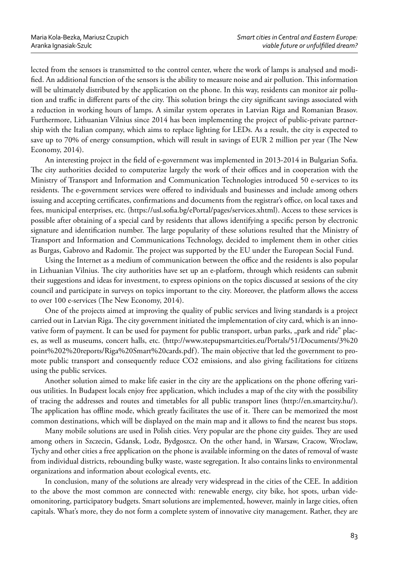lected from the sensors is transmitted to the control center, where the work of lamps is analysed and modified. An additional function of the sensors is the ability to measure noise and air pollution. This information will be ultimately distributed by the application on the phone. In this way, residents can monitor air pollution and traffic in different parts of the city. This solution brings the city significant savings associated with a reduction in working hours of lamps. A similar system operates in Latvian Riga and Romanian Brasov. Furthermore, Lithuanian Vilnius since 2014 has been implementing the project of public-private partnership with the Italian company, which aims to replace lighting for LEDs. As a result, the city is expected to save up to 70% of energy consumption, which will result in savings of EUR 2 million per year (The New Economy, 2014).

An interesting project in the field of e-government was implemented in 2013-2014 in Bulgarian Sofia. The city authorities decided to computerize largely the work of their offices and in cooperation with the Ministry of Transport and Information and Communication Technologies introduced 50 e-services to its residents. The e-government services were offered to individuals and businesses and include among others issuing and accepting certificates, confirmations and documents from the registrar's office, on local taxes and fees, municipal enterprises, etc. (https://usl.sofia.bg/ePortal/pages/services.xhtml). Access to these services is possible after obtaining of a special card by residents that allows identifying a specific person by electronic signature and identification number. The large popularity of these solutions resulted that the Ministry of Transport and Information and Communications Technology, decided to implement them in other cities as Burgas, Gabrovo and Radomir. The project was supported by the EU under the European Social Fund.

Using the Internet as a medium of communication between the office and the residents is also popular in Lithuanian Vilnius. The city authorities have set up an e-platform, through which residents can submit their suggestions and ideas for investment, to express opinions on the topics discussed at sessions of the city council and participate in surveys on topics important to the city. Moreover, the platform allows the access to over 100 e-services (The New Economy, 2014).

One of the projects aimed at improving the quality of public services and living standards is a project carried out in Latvian Riga. The city government initiated the implementation of city card, which is an innovative form of payment. It can be used for payment for public transport, urban parks, "park and ride" places, as well as museums, concert halls, etc. (http://www.stepupsmartcities.eu/Portals/51/Documents/3%20 point%202%20reports/Riga%20Smart%20cards.pdf). The main objective that led the government to promote public transport and consequently reduce CO2 emissions, and also giving facilitations for citizens using the public services.

Another solution aimed to make life easier in the city are the applications on the phone offering various utilities. In Budapest locals enjoy free application, which includes a map of the city with the possibility of tracing the addresses and routes and timetables for all public transport lines (http://en.smartcity.hu/). The application has offline mode, which greatly facilitates the use of it. There can be memorized the most common destinations, which will be displayed on the main map and it allows to find the nearest bus stops.

Many mobile solutions are used in Polish cities. Very popular are the phone city guides. They are used among others in Szczecin, Gdansk, Lodz, Bydgoszcz. On the other hand, in Warsaw, Cracow, Wroclaw, Tychy and other cities a free application on the phone is available informing on the dates of removal of waste from individual districts, rebounding bulky waste, waste segregation. It also contains links to environmental organizations and information about ecological events, etc.

In conclusion, many of the solutions are already very widespread in the cities of the CEE. In addition to the above the most common are connected with: renewable energy, city bike, hot spots, urban videomonitoring, participatory budgets. Smart solutions are implemented, however, mainly in large cities, often capitals. What's more, they do not form a complete system of innovative city management. Rather, they are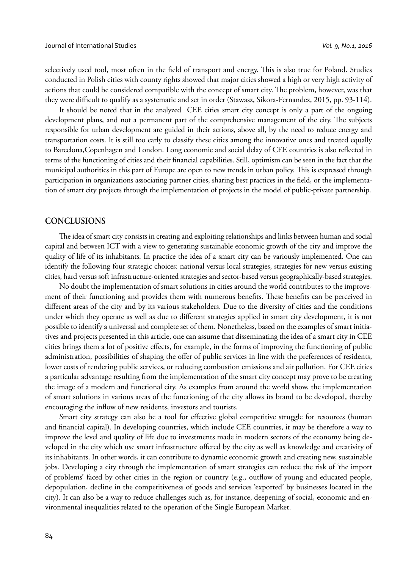selectively used tool, most often in the field of transport and energy. This is also true for Poland. Studies conducted in Polish cities with county rights showed that major cities showed a high or very high activity of actions that could be considered compatible with the concept of smart city. The problem, however, was that they were difficult to qualify as a systematic and set in order (Stawasz, Sikora-Fernandez, 2015, pp. 93-114).

It should be noted that in the analyzed CEE cities smart city concept is only a part of the ongoing development plans, and not a permanent part of the comprehensive management of the city. The subjects responsible for urban development are guided in their actions, above all, by the need to reduce energy and transportation costs. It is still too early to classify these cities among the innovative ones and treated equally to Barcelona, Copenhagen and London. Long economic and social delay of CEE countries is also reflected in terms of the functioning of cities and their financial capabilities. Still, optimism can be seen in the fact that the municipal authorities in this part of Europe are open to new trends in urban policy. This is expressed through participation in organizations associating partner cities, sharing best practices in the field, or the implementation of smart city projects through the implementation of projects in the model of public-private partnership.

#### **CONCLUSIONS**

The idea of smart city consists in creating and exploiting relationships and links between human and social capital and between ICT with a view to generating sustainable economic growth of the city and improve the quality of life of its inhabitants. In practice the idea of a smart city can be variously implemented. One can identify the following four strategic choices: national versus local strategies, strategies for new versus existing cities, hard versus soft infrastructure-oriented strategies and sector-based versus geographically-based strategies.

No doubt the implementation of smart solutions in cities around the world contributes to the improvement of their functioning and provides them with numerous benefits. These benefits can be perceived in different areas of the city and by its various stakeholders. Due to the diversity of cities and the conditions under which they operate as well as due to different strategies applied in smart city development, it is not possible to identify a universal and complete set of them. Nonetheless, based on the examples of smart initiatives and projects presented in this article, one can assume that disseminating the idea of a smart city in CEE cities brings them a lot of positive effects, for example, in the forms of improving the functioning of public administration, possibilities of shaping the offer of public services in line with the preferences of residents, lower costs of rendering public services, or reducing combustion emissions and air pollution. For CEE cities a particular advantage resulting from the implementation of the smart city concept may prove to be creating the image of a modern and functional city. As examples from around the world show, the implementation of smart solutions in various areas of the functioning of the city allows its brand to be developed, thereby encouraging the inflow of new residents, investors and tourists.

Smart city strategy can also be a tool for effective global competitive struggle for resources (human and financial capital). In developing countries, which include CEE countries, it may be therefore a way to improve the level and quality of life due to investments made in modern sectors of the economy being developed in the city which use smart infrastructure offered by the city as well as knowledge and creativity of its inhabitants. In other words, it can contribute to dynamic economic growth and creating new, sustainable jobs. Developing a city through the implementation of smart strategies can reduce the risk of 'the import of problems' faced by other cities in the region or country (e.g., outflow of young and educated people, depopulation, decline in the competitiveness of goods and services 'exported' by businesses located in the city). It can also be a way to reduce challenges such as, for instance, deepening of social, economic and environmental inequalities related to the operation of the Single European Market.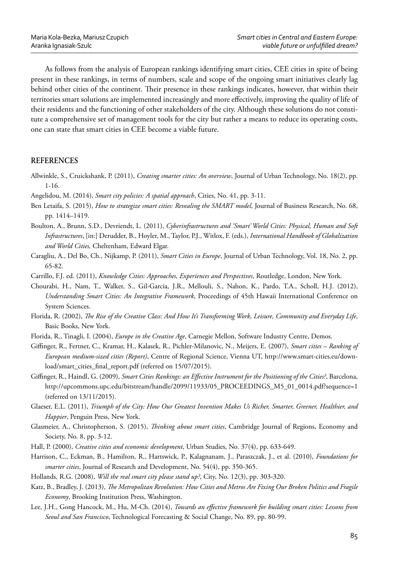As follows from the analysis of European rankings identifying smart cities, CEE cities in spite of being present in these rankings, in terms of numbers, scale and scope of the ongoing smart initiatives clearly lag behind other cities of the continent. Their presence in these rankings indicates, however, that within their territories smart solutions are implemented increasingly and more effectively, improving the quality of life of their residents and the functioning of other stakeholders of the city. Although these solutions do not constitute a comprehensive set of management tools for the city but rather a means to reduce its operating costs, one can state that smart cities in CEE become a viable future.

### **REFERENCES**

- Allwinkle, S., Cruickshank, P. (2011), *Creating smarter cities: An overview*, Journal of Urban Technology, No. 18(2), pp. 1-16.
- Angelidou, M. (2014), *Smart city policies: A spatial approach*, Cities, No. 41, pp. 3-11.
- Ben Letaifa, S. (2015), *How to strategize smart cities: Revealing the SMART model*, Journal of Business Research, No. 68, pp. 1414–1419.
- Boulton, A., Brunn, S.D., Devriendt, L. (2011), *Cyberinfrastructures and 'Smart' World Cities: Physical, Human and Soft Infrastructures*, [in:] Derudder, B., Hoyler, M., Taylor, P.J., Witlox, F. (eds.), *International Handbook of Globalization and World Cities,* Cheltenham, Edward Elgar.
- Caragliu, A., Del Bo, Ch., Nijkamp, P. (2011), *Smart Cities in Europe*, Journal of Urban Technology, Vol. 18, No. 2, pp. 65-82.
- Carrillo, F.J. ed. (2011), *Knowledge Cities: Approaches, Experiences and Perspectives*, Routledge, London, New York.
- Chourabi, H., Nam, T., Walker, S., Gil-Garcia, J.R., Mellouli, S., Nahon, K., Pardo, T.A., Scholl, H.J. (2012), *Understanding Smart Cities: An Integrative Framework*, Proceedings of 45th Hawaii International Conference on System Sciences.
- Florida, R. (2002), *The Rise of the Creative Class: And How It's Transforming Work, Leisure, Community and Everyday Life*, Basic Books, New York.
- Florida, R., Tinagli, I. (2004), *Europe in the Creative Age*, Carnegie Mellon, Software Industry Centre, Demos.
- Giffi nger, R., Fertner, C., Kramar, H., Kalasek, R., Pichler-Milanovic, N., Meijers, E. (2007), *Smart cities Ranking of European medium-sized cities (Report)*, Centre of Regional Science, Vienna UT, http://www.smart-cities.eu/download/smart\_cities\_final\_report.pdf (referred on 15/07/2015).
- Giffinger, R., Haindl, G. (2009), *Smart Cities Rankings: an Effective Instrument for the Positioning of the Cities?*, Barcelona, http://upcommons.upc.edu/bitstream/handle/2099/11933/05\_PROCEEDINGS\_M5\_01\_0014.pdf?sequence=1 (referred on 13/11/2015).
- Glaeser, E.L. (2011), *Triumph of the City: How Our Greatest Invention Makes Us Richer, Smarter, Greener, Healthier, and Happier*, Penguin Press, New York.
- Glasmeier, A., Christopherson, S. (2015), *Thinking about smart cities*, Cambridge Journal of Regions, Economy and Society, No. 8, pp. 3-12.
- Hall, P. (2000), *Creative cities and economic development*, Urban Studies, No. 37(4), pp. 633-649.
- Harrison, C., Eckman, B., Hamilton, R., Hartswick, P., Kalagnanam, J., Paraszczak, J., et al. (2010), *Foundations for smarter cities*, Journal of Research and Development, No. 54(4), pp. 350-365.
- Hollands, R.G. (2008), *Will the real smart city please stand up?*, City, No. 12(3), pp. 303-320.
- Katz, B., Bradley, J. (2013), *The Metropolitan Revolution: How Cities and Metros Are Fixing Our Broken Politics and Fragile Economy*, Brooking Institution Press, Washington.
- Lee, J.H., Gong Hancock, M., Hu, M-Ch. (2014), *Towards an effective framework for building smart cities: Lessons from Seoul and San Francisco*, Technological Forecasting & Social Change, No. 89, pp. 80-99.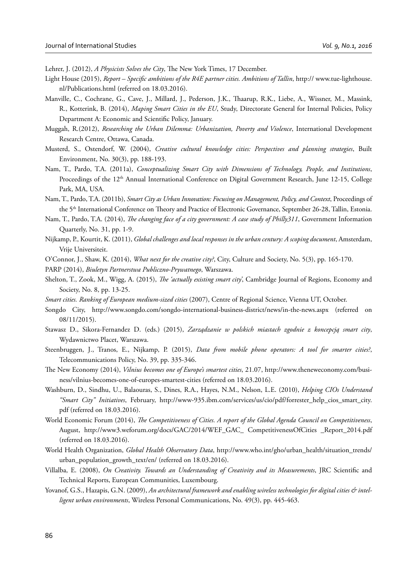Lehrer, J. (2012), *A Physicists Solves the City*, The New York Times, 17 December.

- Light House (2015), *Report Specific ambitions of the R4E partner cities. Ambitions of Tallin*, http:// www.tue-lighthouse. nl/Publications.html (referred on 18.03.2016).
- Manville, C., Cochrane, G., Cave, J., Millard, J., Pederson, J.K., Thaarup, R.K., Liebe, A., Wissner, M., Massink, R., Kotterink, B. (2014), *Maping Smart Cities in the EU*, Study, Directorate General for Internal Policies, Policy Department A: Economic and Scientific Policy, January.
- Muggah, R.(2012), *Researching the Urban Dilemma: Urbanization, Poverty and Violence*, International Development Research Centre, Ottawa, Canada.
- Musterd, S., Ostendorf, W. (2004), *Creative cultural knowledge cities: Perspectives and planning strategies*, Built Environment, No. 30(3), pp. 188-193.
- Nam, T., Pardo, T.A. (2011a), *Conceptualizing Smart City with Dimensions of Technology, People, and Institutions*, Proceedings of the 12<sup>th</sup> Annual International Conference on Digital Government Research, June 12-15, College Park, MA, USA.
- Nam, T., Pardo, T.A. (2011b), *Smart City as Urban Innovation: Focusing on Management, Policy, and Context*, Proceedings of the 5<sup>th</sup> International Conference on Theory and Practice of Electronic Governance, September 26-28, Tallin, Estonia.
- Nam, T., Pardo, T.A. (2014), *The changing face of a city government: A case study of Philly311*, Government Information Quarterly, No. 31, pp. 1-9.
- Nijkamp, P., Kourtit, K. (2011), *Global challenges and local responses in the urban century: A scoping document*, Amsterdam, Vrije Universiteit.
- O'Connor, J., Shaw, K. (2014), *What next for the creative city?*, City, Culture and Society, No. 5(3), pp. 165-170.

PARP (2014), *Biuletyn Partnerstwa Publiczno-Prywatnego*, Warszawa.

- Shelton, T., Zook, M., Wigg, A. (2015), *The 'actually existing smart city'*, Cambridge Journal of Regions, Economy and Society, No. 8, pp. 13-25.
- *Smart cities. Ranking of European medium-sized cities* (2007), Centre of Regional Science, Vienna UT, October.
- Songdo City, http://www.songdo.com/songdo-international-business-district/news/in-the-news.aspx (referred on 08/11/2015).
- Stawasz D., Sikora-Fernandez D. (eds.) (2015), *Zarządzanie w polskich miastach zgodnie z koncepcją smart city*, Wydawnictwo Placet, Warszawa.
- Steenbruggen, J., Tranos, E., Nijkamp, P. (2015), *Data from mobile phone operators: A tool for smarter cities?*, Telecommunications Policy, No. 39, pp. 335-346.
- The New Economy (2014), *Vilnius becomes one of Europe's smartest cities*, 21.07, http://www.theneweconomy.com/business/vilnius-becomes-one-of-europes-smartest-cities (referred on 18.03.2016).
- Washburn, D., Sindhu, U., Balaouras, S., Dines, R.A., Hayes, N.M., Nelson, L.E. (2010), *Helping CIOs Understand "Smart City" Initiatives*, February, http://www-935.ibm.com/services/us/cio/pdf/forrester\_help\_cios\_smart\_city. pdf (referred on 18.03.2016).
- World Economic Forum (2014), *The Competitiveness of Cities. A report of the Global Agenda Council on Competitiveness*, August, http://www3.weforum.org/docs/GAC/2014/WEF\_GAC\_ CompetitivenessOfCities \_Report\_2014.pdf (referred on 18.03.2016).
- World Health Organization, *Global Health Observatory Data*, http://www.who.int/gho/urban\_health/situation\_trends/ urban\_population\_growth\_text/en/ (referred on 18.03.2016).
- Villalba, E. (2008), *On Creativity. Towards an Understanding of Creativity and its Measurements*, JRC Scientific and Technical Reports, European Communities, Luxembourg.
- Yovanof, G.S., Hazapis, G.N. (2009), An architectural framework and enabling wireless technologies for digital cities & intel*ligent urban environments*, Wireless Personal Communications, No. 49(3), pp. 445-463.